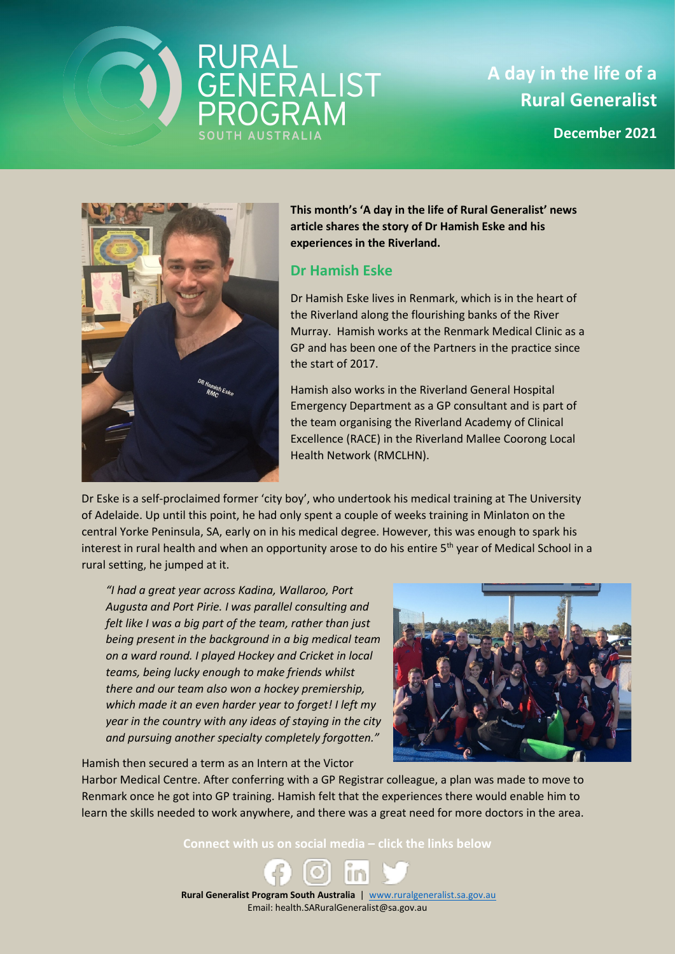## RURAL<br>GENERALIST<br>PROGRAM

**A day in the life of a Rural Generalist**

**December 2021**



**This month's 'A day in the life of Rural Generalist' news article shares the story of Dr Hamish Eske and his experiences in the Riverland.** 

## **Dr Hamish Eske**

Dr Hamish Eske lives in Renmark, which is in the heart of the Riverland along the flourishing banks of the River Murray. Hamish works at the Renmark Medical Clinic as a GP and has been one of the Partners in the practice since the start of 2017.

Hamish also works in the Riverland General Hospital Emergency Department as a GP consultant and is part of the team organising the Riverland Academy of Clinical Excellence (RACE) in the Riverland Mallee Coorong Local Health Network (RMCLHN).

Dr Eske is a self-proclaimed former 'city boy', who undertook his medical training at The University of Adelaide. Up until this point, he had only spent a couple of weeks training in Minlaton on the central Yorke Peninsula, SA, early on in his medical degree. However, this was enough to spark his interest in rural health and when an opportunity arose to do his entire  $5<sup>th</sup>$  year of Medical School in a rural setting, he jumped at it.

*"I had a great year across Kadina, Wallaroo, Port Augusta and Port Pirie. I was parallel consulting and felt like I was a big part of the team, rather than just being present in the background in a big medical team on a ward round. I played Hockey and Cricket in local teams, being lucky enough to make friends whilst there and our team also won a hockey premiership, which made it an even harder year to forget! I left my year in the country with any ideas of staying in the city and pursuing another specialty completely forgotten."*

Hamish then secured a term as an Intern at the Victor



Harbor Medical Centre. After conferring with a GP Registrar colleague, a plan was made to move to Renmark once he got into GP training. Hamish felt that the experiences there would enable him to learn the skills needed to work anywhere, and there was a great need for more doctors in the area.

**Connect with us on social media – click the links below**

 **Rural Generalist Program South Australia** | [www.ruralgeneralist.sa.gov.au](http://www.ruralgeneralist.sa.gov.au/) Email: health.SARuralGeneralist@sa.gov.au